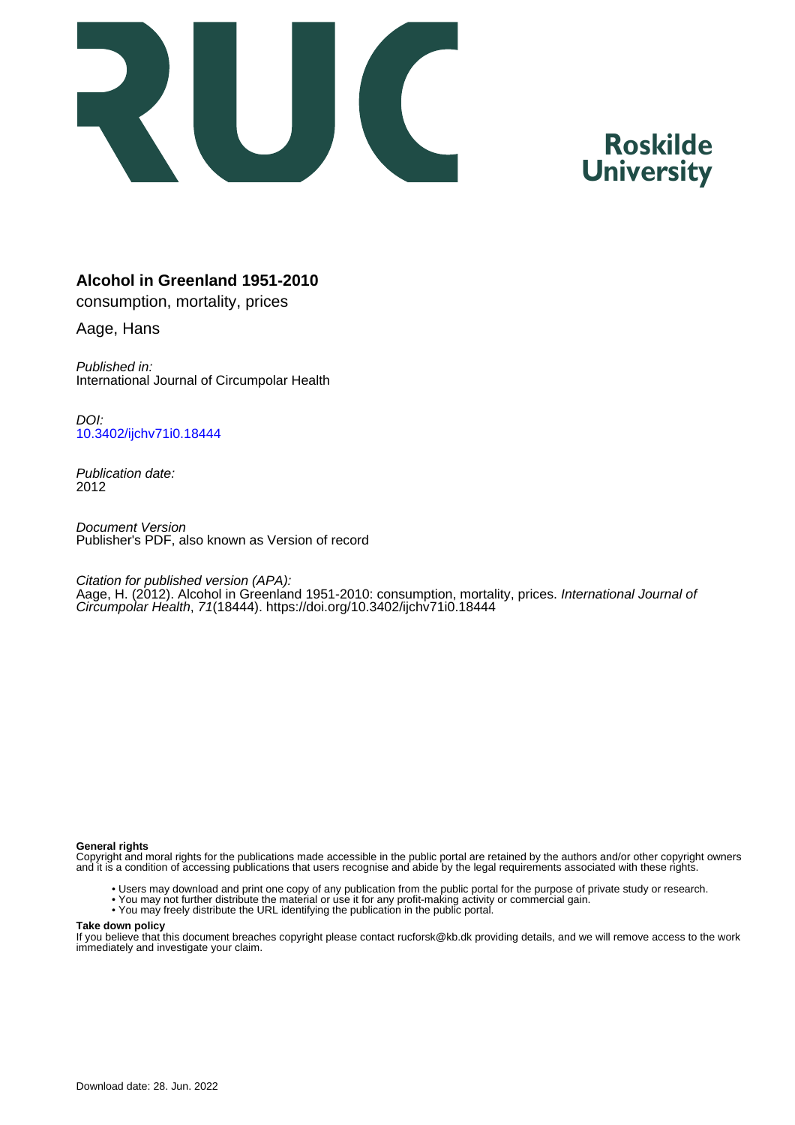

# **Roskilde University**

# **Alcohol in Greenland 1951-2010**

consumption, mortality, prices

Aage, Hans

Published in: International Journal of Circumpolar Health

DOI: [10.3402/ijchv71i0.18444](https://doi.org/10.3402/ijchv71i0.18444)

Publication date: 2012

Document Version Publisher's PDF, also known as Version of record

Citation for published version (APA):

Aage, H. (2012). Alcohol in Greenland 1951-2010: consumption, mortality, prices. International Journal of Circumpolar Health, 71(18444).<https://doi.org/10.3402/ijchv71i0.18444>

#### **General rights**

Copyright and moral rights for the publications made accessible in the public portal are retained by the authors and/or other copyright owners and it is a condition of accessing publications that users recognise and abide by the legal requirements associated with these rights.

- Users may download and print one copy of any publication from the public portal for the purpose of private study or research.
- You may not further distribute the material or use it for any profit-making activity or commercial gain.
- You may freely distribute the URL identifying the publication in the public portal.

#### **Take down policy**

If you believe that this document breaches copyright please contact rucforsk@kb.dk providing details, and we will remove access to the work immediately and investigate your claim.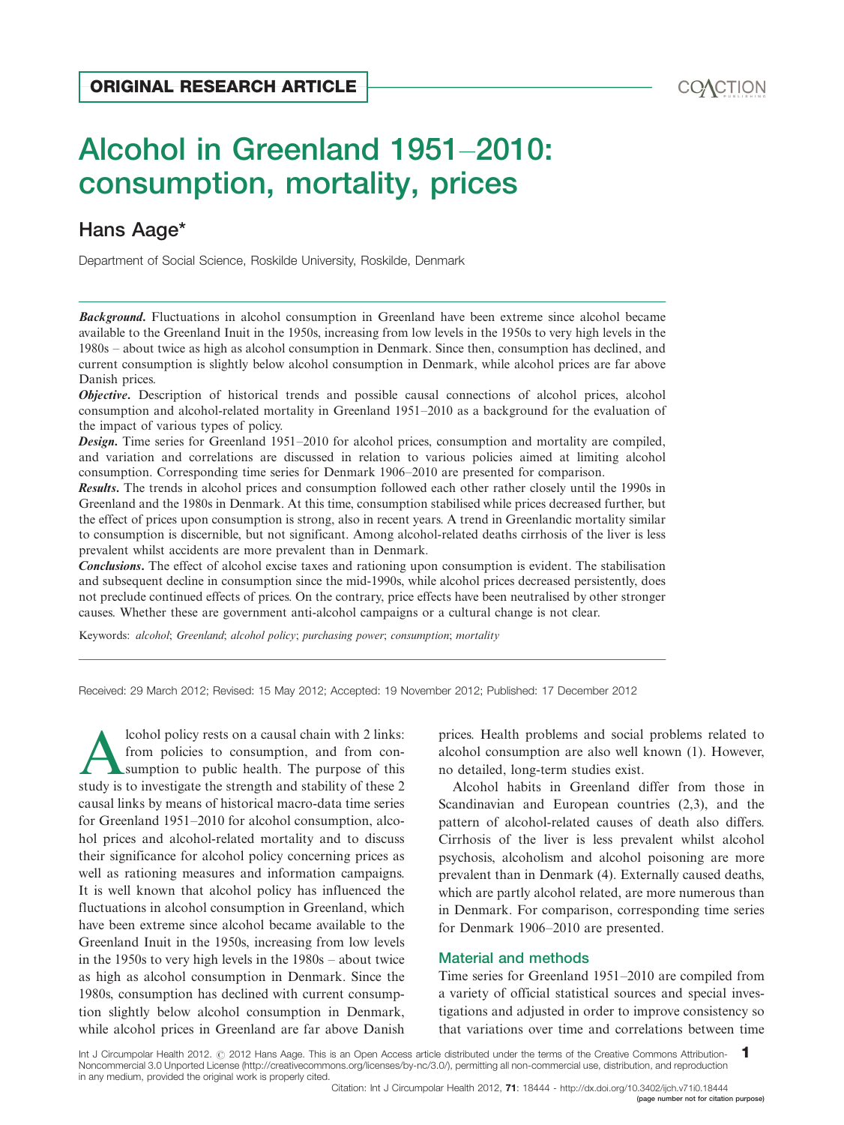# Alcohol in Greenland 1951-2010: consumption, mortality, prices ORIGINAL RESEARCH ARTICLE<br>Alcohol in Greenland 1951–2010:<br>consumption, mortality, prices

# Hans Aag[e\\*](#page-11-0)

Department of Social Science, Roskilde University, Roskilde, Denmark

**Background.** Fluctuations in alcohol consumption in Greenland have been extreme since alcohol became available to the Greenland Inuit in the 1950s, increasing from low levels in the 1950s to very high levels in the 1980s - about twice as high as alcohol consumption in Denmark. Since then, consumption has declined, and current consumption is slightly below alcohol consumption in Denmark, while alcohol prices are far above Danish prices.

**Objective.** Description of historical trends and possible causal connections of alcohol prices, alcohol consumption and alcohol-related mortality in Greenland 1951-2010 as a background for the evaluation of the impact of various types of policy.

**Design.** Time series for Greenland 1951–2010 for alcohol prices, consumption and mortality are compiled, and variation and correlations are discussed in relation to various policies aimed at limiting alcohol consumption. Corresponding time series for Denmark 1906-2010 are presented for comparison.

Results. The trends in alcohol prices and consumption followed each other rather closely until the 1990s in Greenland and the 1980s in Denmark. At this time, consumption stabilised while prices decreased further, but the effect of prices upon consumption is strong, also in recent years. A trend in Greenlandic mortality similar to consumption is discernible, but not significant. Among alcohol-related deaths cirrhosis of the liver is less prevalent whilst accidents are more prevalent than in Denmark.

Conclusions. The effect of alcohol excise taxes and rationing upon consumption is evident. The stabilisation and subsequent decline in consumption since the mid-1990s, while alcohol prices decreased persistently, does not preclude continued effects of prices. On the contrary, price effects have been neutralised by other stronger causes. Whether these are government anti-alcohol campaigns or a cultural change is not clear.

Keywords: alcohol; Greenland; alcohol policy; purchasing power; consumption; mortality

Received: 29 March 2012; Revised: 15 May 2012; Accepted: 19 November 2012; Published: 17 December 2012

lcohol policy rests on a causal chain with 2 links: from policies to consumption, and from consumption to public health. The purpose of this study is to investigate the strength and stability of these 2 causal links by means of historical macro-data time series for Greenland 1951-2010 for alcohol consumption, alcohol prices and alcohol-related mortality and to discuss their significance for alcohol policy concerning prices as well as rationing measures and information campaigns. It is well known that alcohol policy has influenced the fluctuations in alcohol consumption in Greenland, which have been extreme since alcohol became available to the Greenland Inuit in the 1950s, increasing from low levels in the 1950s to very high levels in the 1980s – about twice as high as alcohol consumption in Denmark. Since the 1980s, consumption has declined with current consumption slightly below alcohol consumption in Denmark, while alcohol prices in Greenland are far above Danish

prices. Health problems and social problems related to alcohol consumption are also well known (1). However, no detailed, long-term studies exist.

Alcohol habits in Greenland differ from those in Scandinavian and European countries (2,3), and the pattern of alcohol-related causes of death also differs. Cirrhosis of the liver is less prevalent whilst alcohol psychosis, alcoholism and alcohol poisoning are more prevalent than in Denmark (4). Externally caused deaths, which are partly alcohol related, are more numerous than in Denmark. For comparison, corresponding time series for Denmark 1906-2010 are presented.

#### Material and methods

Time series for Greenland 1951-2010 are compiled from a variety of official statistical sources and special investigations and adjusted in order to improve consistency so that variations over time and correlations between time

Int J Circumpolar Health 2012. @ 2012 Hans Aage. This is an Open Access article distributed under the terms of the Creative Commons Attribution-Noncommercial 3.0 Unported License (http://creativecommons.org/licenses/by-nc/3.0/), permitting all non-commercial use, distribution, and reproduction in any medium, provided the original work is properly cited. 1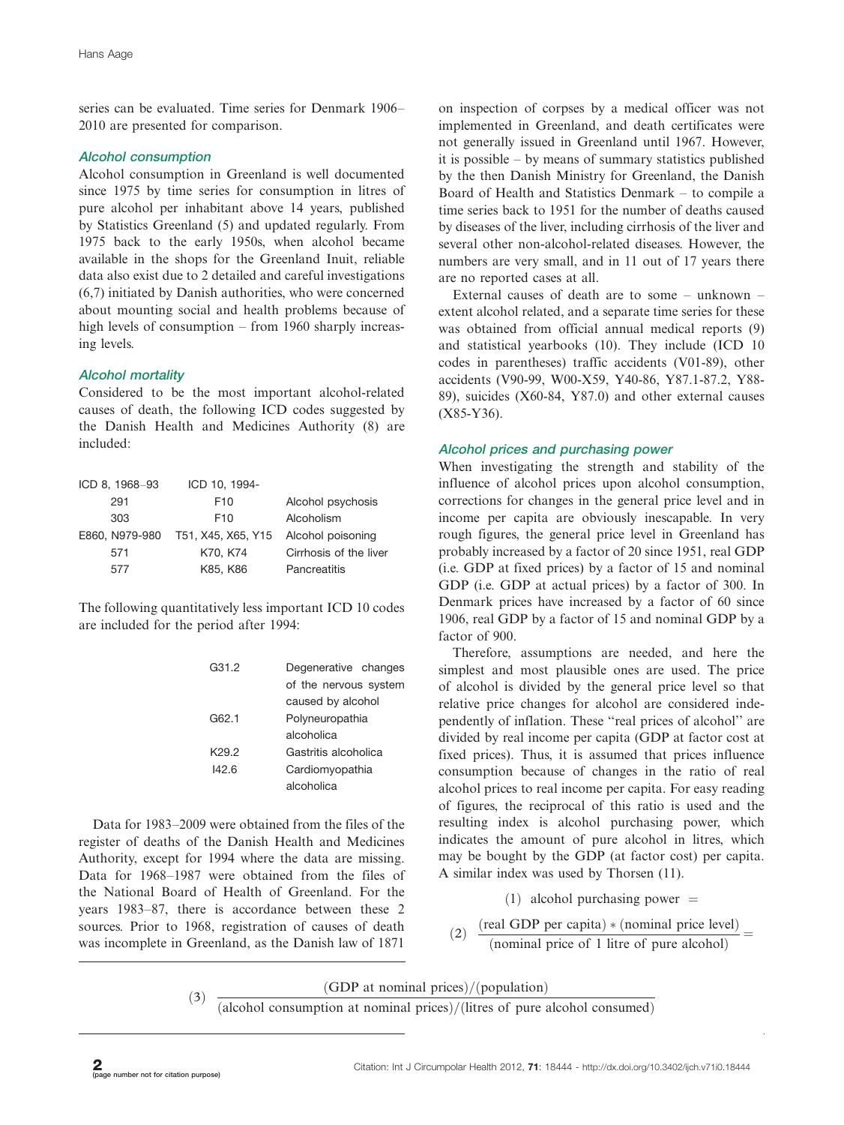series can be evaluated. Time series for Denmark 1906-2010 are presented for comparison.

# Alcohol consumption

Alcohol consumption in Greenland is well documented since 1975 by time series for consumption in litres of pure alcohol per inhabitant above 14 years, published by Statistics Greenland (5) and updated regularly. From 1975 back to the early 1950s, when alcohol became available in the shops for the Greenland Inuit, reliable data also exist due to 2 detailed and careful investigations (6,7) initiated by Danish authorities, who were concerned about mounting social and health problems because of high levels of consumption – from 1960 sharply increasing levels.

# Alcohol mortality

Considered to be the most important alcohol-related causes of death, the following ICD codes suggested by the Danish Health and Medicines Authority (8) are included:

| ICD 10, 1994-      |                        |
|--------------------|------------------------|
| F <sub>10</sub>    | Alcohol psychosis      |
| F <sub>10</sub>    | Alcoholism             |
| T51, X45, X65, Y15 | Alcohol poisoning      |
| K70, K74           | Cirrhosis of the liver |
| K85, K86           | Pancreatitis           |
|                    |                        |

The following quantitatively less important ICD 10 codes are included for the period after 1994:

| G31.2             | Degenerative changes  |
|-------------------|-----------------------|
|                   | of the nervous system |
|                   | caused by alcohol     |
| G62.1             | Polyneuropathia       |
|                   | alcoholica            |
| K <sub>29.2</sub> | Gastritis alcoholica  |
| 142.6             | Cardiomyopathia       |
|                   | alcoholica            |
|                   |                       |

Data for 1983-2009 were obtained from the files of the register of deaths of the Danish Health and Medicines Authority, except for 1994 where the data are missing. Data for 1968-1987 were obtained from the files of the National Board of Health of Greenland. For the years 1983-87, there is accordance between these 2 sources. Prior to 1968, registration of causes of death was incomplete in Greenland, as the Danish law of 1871

on inspection of corpses by a medical officer was not implemented in Greenland, and death certificates were not generally issued in Greenland until 1967. However, it is possible - by means of summary statistics published by the then Danish Ministry for Greenland, the Danish Board of Health and Statistics Denmark - to compile a time series back to 1951 for the number of deaths caused by diseases of the liver, including cirrhosis of the liver and several other non-alcohol-related diseases. However, the numbers are very small, and in 11 out of 17 years there are no reported cases at all.

External causes of death are to some  $-$  unknown  $$ extent alcohol related, and a separate time series for these was obtained from official annual medical reports (9) and statistical yearbooks (10). They include (ICD 10 codes in parentheses) traffic accidents (V01-89), other accidents (V90-99, W00-X59, Y40-86, Y87.1-87.2, Y88- 89), suicides (X60-84, Y87.0) and other external causes (X85-Y36).

## Alcohol prices and purchasing power

When investigating the strength and stability of the influence of alcohol prices upon alcohol consumption, corrections for changes in the general price level and in income per capita are obviously inescapable. In very rough figures, the general price level in Greenland has probably increased by a factor of 20 since 1951, real GDP (i.e. GDP at fixed prices) by a factor of 15 and nominal GDP (i.e. GDP at actual prices) by a factor of 300. In Denmark prices have increased by a factor of 60 since 1906, real GDP by a factor of 15 and nominal GDP by a factor of 900.

Therefore, assumptions are needed, and here the simplest and most plausible ones are used. The price of alcohol is divided by the general price level so that relative price changes for alcohol are considered independently of inflation. These ''real prices of alcohol'' are divided by real income per capita (GDP at factor cost at fixed prices). Thus, it is assumed that prices influence consumption because of changes in the ratio of real alcohol prices to real income per capita. For easy reading of figures, the reciprocal of this ratio is used and the resulting index is alcohol purchasing power, which indicates the amount of pure alcohol in litres, which may be bought by the GDP (at factor cost) per capita. A similar index was used by Thorsen (11).

(1) alcohol purchasing power  $=$ 

(2) 
$$
\frac{\text{(real GDP per capita)} \times \text{(nominal price level)}}{\text{(nominal price of 1 litre of pure alcohol)}} =
$$

(3)  $\frac{(GDP \text{ at nominal prices})/(population)}{}$ 

 $(alcohol consumption at nominal prices)/(litres of pure alcohol consumed)$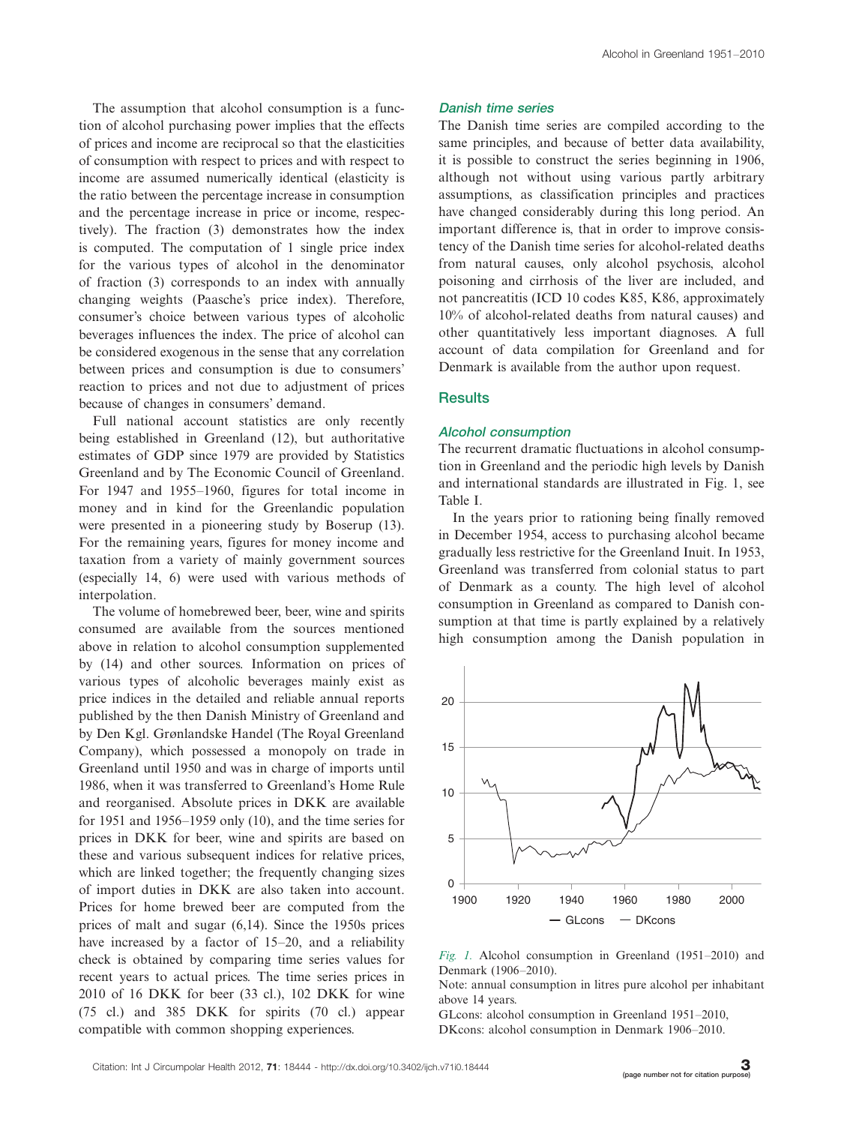The assumption that alcohol consumption is a function of alcohol purchasing power implies that the effects of prices and income are reciprocal so that the elasticities of consumption with respect to prices and with respect to income are assumed numerically identical (elasticity is the ratio between the percentage increase in consumption and the percentage increase in price or income, respectively). The fraction (3) demonstrates how the index is computed. The computation of 1 single price index for the various types of alcohol in the denominator of fraction (3) corresponds to an index with annually changing weights (Paasche's price index). Therefore, consumer's choice between various types of alcoholic beverages influences the index. The price of alcohol can be considered exogenous in the sense that any correlation between prices and consumption is due to consumers' reaction to prices and not due to adjustment of prices because of changes in consumers' demand.

Full national account statistics are only recently being established in Greenland (12), but authoritative estimates of GDP since 1979 are provided by Statistics Greenland and by The Economic Council of Greenland. For 1947 and 1955-1960, figures for total income in money and in kind for the Greenlandic population were presented in a pioneering study by Boserup (13). For the remaining years, figures for money income and taxation from a variety of mainly government sources (especially 14, 6) were used with various methods of interpolation.

The volume of homebrewed beer, beer, wine and spirits consumed are available from the sources mentioned above in relation to alcohol consumption supplemented by (14) and other sources. Information on prices of various types of alcoholic beverages mainly exist as price indices in the detailed and reliable annual reports published by the then Danish Ministry of Greenland and by Den Kgl. Grønlandske Handel (The Royal Greenland Company), which possessed a monopoly on trade in Greenland until 1950 and was in charge of imports until 1986, when it was transferred to Greenland's Home Rule and reorganised. Absolute prices in DKK are available for 1951 and 1956-1959 only (10), and the time series for prices in DKK for beer, wine and spirits are based on these and various subsequent indices for relative prices, which are linked together; the frequently changing sizes of import duties in DKK are also taken into account. Prices for home brewed beer are computed from the prices of malt and sugar (6,14). Since the 1950s prices have increased by a factor of 15-20, and a reliability check is obtained by comparing time series values for recent years to actual prices. The time series prices in 2010 of 16 DKK for beer (33 cl.), 102 DKK for wine (75 cl.) and 385 DKK for spirits (70 cl.) appear compatible with common shopping experiences.

#### Danish time series

The Danish time series are compiled according to the same principles, and because of better data availability, it is possible to construct the series beginning in 1906, although not without using various partly arbitrary assumptions, as classification principles and practices have changed considerably during this long period. An important difference is, that in order to improve consistency of the Danish time series for alcohol-related deaths from natural causes, only alcohol psychosis, alcohol poisoning and cirrhosis of the liver are included, and not pancreatitis (ICD 10 codes K85, K86, approximately 10% of alcohol-related deaths from natural causes) and other quantitatively less important diagnoses. A full account of data compilation for Greenland and for Denmark is available from the author upon request.

#### **Results**

#### Alcohol consumption

The recurrent dramatic fluctuations in alcohol consumption in Greenland and the periodic high levels by Danish and international standards are illustrated in Fig. 1, see Table I.

In the years prior to rationing being finally removed in December 1954, access to purchasing alcohol became gradually less restrictive for the Greenland Inuit. In 1953, Greenland was transferred from colonial status to part of Denmark as a county. The high level of alcohol consumption in Greenland as compared to Danish consumption at that time is partly explained by a relatively high consumption among the Danish population in



Fig. 1. Alcohol consumption in Greenland (1951-2010) and Denmark (1906-2010).

Note: annual consumption in litres pure alcohol per inhabitant above 14 years.

GLcons: alcohol consumption in Greenland 1951-2010, DKcons: alcohol consumption in Denmark 1906-2010.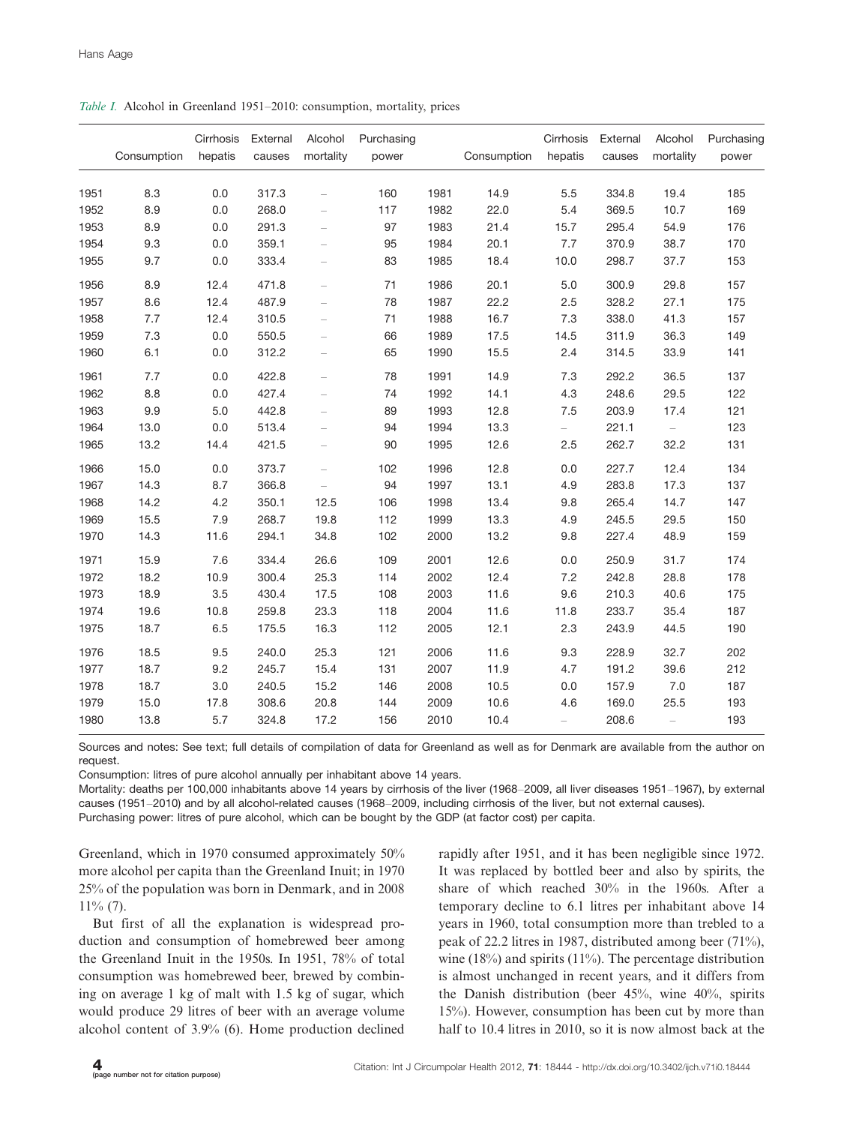|  |  |  |  | Table I. Alcohol in Greenland 1951-2010: consumption, mortality, prices |  |  |
|--|--|--|--|-------------------------------------------------------------------------|--|--|
|--|--|--|--|-------------------------------------------------------------------------|--|--|

|              | Consumption | Cirrhosis<br>hepatis | External<br>causes | Alcohol<br>mortality     | Purchasing<br>power |              | Consumption  | Cirrhosis<br>hepatis | External<br>causes | Alcohol<br>mortality     | Purchasing<br>power |
|--------------|-------------|----------------------|--------------------|--------------------------|---------------------|--------------|--------------|----------------------|--------------------|--------------------------|---------------------|
|              |             |                      |                    |                          |                     |              |              |                      |                    |                          |                     |
| 1951         | 8.3         | 0.0                  | 317.3              | $\equiv$                 | 160                 | 1981         | 14.9         | 5.5                  | 334.8              | 19.4                     | 185                 |
| 1952         | 8.9         | 0.0                  | 268.0              | $\overline{\phantom{0}}$ | 117                 | 1982         | 22.0         | 5.4                  | 369.5              | 10.7                     | 169                 |
| 1953<br>1954 | 8.9         | 0.0<br>0.0           | 291.3              | $\overline{\phantom{0}}$ | 97<br>95            | 1983<br>1984 | 21.4<br>20.1 | 15.7<br>7.7          | 295.4<br>370.9     | 54.9                     | 176<br>170          |
|              | 9.3         |                      | 359.1<br>333.4     | $\overline{\phantom{0}}$ | 83                  | 1985         | 18.4         |                      |                    | 38.7                     | 153                 |
| 1955         | 9.7         | 0.0                  |                    | $\qquad \qquad -$        |                     |              |              | 10.0                 | 298.7              | 37.7                     |                     |
| 1956         | 8.9         | 12.4                 | 471.8              | $\qquad \qquad -$        | 71                  | 1986         | 20.1         | 5.0                  | 300.9              | 29.8                     | 157                 |
| 1957         | 8.6         | 12.4                 | 487.9              | $\equiv$                 | 78                  | 1987         | 22.2         | 2.5                  | 328.2              | 27.1                     | 175                 |
| 1958         | 7.7         | 12.4                 | 310.5              | $\equiv$                 | 71                  | 1988         | 16.7         | 7.3                  | 338.0              | 41.3                     | 157                 |
| 1959         | 7.3         | 0.0                  | 550.5              | $\equiv$                 | 66                  | 1989         | 17.5         | 14.5                 | 311.9              | 36.3                     | 149                 |
| 1960         | 6.1         | 0.0                  | 312.2              | $\overline{\phantom{0}}$ | 65                  | 1990         | 15.5         | 2.4                  | 314.5              | 33.9                     | 141                 |
| 1961         | 7.7         | 0.0                  | 422.8              | $\frac{1}{2}$            | 78                  | 1991         | 14.9         | 7.3                  | 292.2              | 36.5                     | 137                 |
| 1962         | 8.8         | 0.0                  | 427.4              | $\overline{\phantom{0}}$ | 74                  | 1992         | 14.1         | 4.3                  | 248.6              | 29.5                     | 122                 |
| 1963         | 9.9         | 5.0                  | 442.8              | $\overline{\phantom{0}}$ | 89                  | 1993         | 12.8         | 7.5                  | 203.9              | 17.4                     | 121                 |
| 1964         | 13.0        | 0.0                  | 513.4              | $\overline{\phantom{0}}$ | 94                  | 1994         | 13.3         | $-$                  | 221.1              | $\overline{\phantom{0}}$ | 123                 |
| 1965         | 13.2        | 14.4                 | 421.5              | $\overline{\phantom{0}}$ | 90                  | 1995         | 12.6         | 2.5                  | 262.7              | 32.2                     | 131                 |
| 1966         | 15.0        | 0.0                  | 373.7              | $\equiv$                 | 102                 | 1996         | 12.8         | 0.0                  | 227.7              | 12.4                     | 134                 |
| 1967         | 14.3        | 8.7                  | 366.8              | $\equiv$                 | 94                  | 1997         | 13.1         | 4.9                  | 283.8              | 17.3                     | 137                 |
| 1968         | 14.2        | 4.2                  | 350.1              | 12.5                     | 106                 | 1998         | 13.4         | 9.8                  | 265.4              | 14.7                     | 147                 |
| 1969         | 15.5        | 7.9                  | 268.7              | 19.8                     | 112                 | 1999         | 13.3         | 4.9                  | 245.5              | 29.5                     | 150                 |
| 1970         | 14.3        | 11.6                 | 294.1              | 34.8                     | 102                 | 2000         | 13.2         | 9.8                  | 227.4              | 48.9                     | 159                 |
| 1971         | 15.9        | 7.6                  | 334.4              | 26.6                     | 109                 | 2001         | 12.6         | 0.0                  | 250.9              | 31.7                     | 174                 |
| 1972         | 18.2        | 10.9                 | 300.4              | 25.3                     | 114                 | 2002         | 12.4         | 7.2                  | 242.8              | 28.8                     | 178                 |
| 1973         | 18.9        | 3.5                  | 430.4              | 17.5                     | 108                 | 2003         | 11.6         | 9.6                  | 210.3              | 40.6                     | 175                 |
| 1974         | 19.6        | 10.8                 | 259.8              | 23.3                     | 118                 | 2004         | 11.6         | 11.8                 | 233.7              | 35.4                     | 187                 |
| 1975         | 18.7        | 6.5                  | 175.5              | 16.3                     | 112                 | 2005         | 12.1         | 2.3                  | 243.9              | 44.5                     | 190                 |
| 1976         | 18.5        | 9.5                  | 240.0              | 25.3                     | 121                 | 2006         | 11.6         | 9.3                  | 228.9              | 32.7                     | 202                 |
| 1977         | 18.7        | 9.2                  | 245.7              | 15.4                     | 131                 | 2007         | 11.9         | 4.7                  | 191.2              | 39.6                     | 212                 |
| 1978         | 18.7        | 3.0                  | 240.5              | 15.2                     | 146                 | 2008         | 10.5         | 0.0                  | 157.9              | $7.0$                    | 187                 |
| 1979         | 15.0        | 17.8                 | 308.6              | 20.8                     | 144                 | 2009         | 10.6         | 4.6                  | 169.0              | 25.5                     | 193                 |
| 1980         | 13.8        | 5.7                  | 324.8              | 17.2                     | 156                 | 2010         | 10.4         | $\equiv$             | 208.6              | $\equiv$                 | 193                 |

Sources and notes: See text; full details of compilation of data for Greenland as well as for Denmark are available from the author on request.

Consumption: litres of pure alcohol annually per inhabitant above 14 years.

Mortality: deaths per 100,000 inhabitants above 14 years by cirrhosis of the liver (1968-2009, all liver diseases 1951-1967), by external causes (1951-2010) and by all alcohol-related causes (1968-2009, including cirrhosis of the liver, but not external causes). Purchasing power: litres of pure alcohol, which can be bought by the GDP (at factor cost) per capita.

Greenland, which in 1970 consumed approximately 50% more alcohol per capita than the Greenland Inuit; in 1970 25% of the population was born in Denmark, and in 2008 11% (7).

But first of all the explanation is widespread production and consumption of homebrewed beer among the Greenland Inuit in the 1950s. In 1951, 78% of total consumption was homebrewed beer, brewed by combining on average 1 kg of malt with 1.5 kg of sugar, which would produce 29 litres of beer with an average volume alcohol content of 3.9% (6). Home production declined rapidly after 1951, and it has been negligible since 1972. It was replaced by bottled beer and also by spirits, the share of which reached 30% in the 1960s. After a temporary decline to 6.1 litres per inhabitant above 14 years in 1960, total consumption more than trebled to a peak of 22.2 litres in 1987, distributed among beer (71%), wine  $(18\%)$  and spirits  $(11\%)$ . The percentage distribution is almost unchanged in recent years, and it differs from the Danish distribution (beer 45%, wine 40%, spirits 15%). However, consumption has been cut by more than half to 10.4 litres in 2010, so it is now almost back at the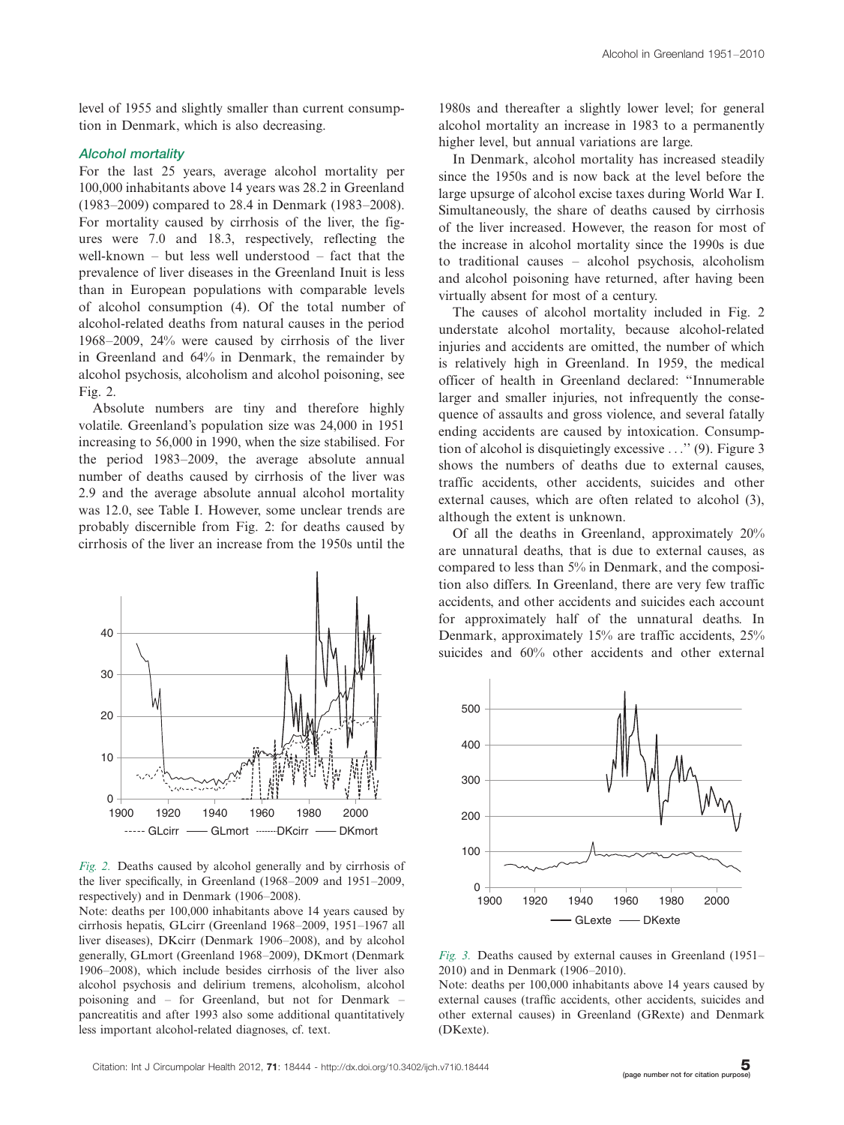level of 1955 and slightly smaller than current consumption in Denmark, which is also decreasing.

#### Alcohol mortality

For the last 25 years, average alcohol mortality per 100,000 inhabitants above 14 years was 28.2 in Greenland (1983-2009) compared to 28.4 in Denmark (1983-2008). For mortality caused by cirrhosis of the liver, the figures were 7.0 and 18.3, respectively, reflecting the well-known - but less well understood - fact that the prevalence of liver diseases in the Greenland Inuit is less than in European populations with comparable levels of alcohol consumption (4). Of the total number of alcohol-related deaths from natural causes in the period 1968-2009, 24% were caused by cirrhosis of the liver in Greenland and 64% in Denmark, the remainder by alcohol psychosis, alcoholism and alcohol poisoning, see Fig. 2.

Absolute numbers are tiny and therefore highly volatile. Greenland's population size was 24,000 in 1951 increasing to 56,000 in 1990, when the size stabilised. For the period 1983-2009, the average absolute annual number of deaths caused by cirrhosis of the liver was 2.9 and the average absolute annual alcohol mortality was 12.0, see Table I. However, some unclear trends are probably discernible from Fig. 2: for deaths caused by cirrhosis of the liver an increase from the 1950s until the



Fig. 2. Deaths caused by alcohol generally and by cirrhosis of the liver specifically, in Greenland (1968-2009 and 1951-2009, respectively) and in Denmark (1906-2008).

Note: deaths per 100,000 inhabitants above 14 years caused by cirrhosis hepatis, GLcirr (Greenland 1968-2009, 1951-1967 all liver diseases), DKcirr (Denmark 1906-2008), and by alcohol generally, GLmort (Greenland 1968-2009), DKmort (Denmark 1906-2008), which include besides cirrhosis of the liver also alcohol psychosis and delirium tremens, alcoholism, alcohol poisoning and – for Greenland, but not for Denmark – pancreatitis and after 1993 also some additional quantitatively less important alcohol-related diagnoses, cf. text.

1980s and thereafter a slightly lower level; for general alcohol mortality an increase in 1983 to a permanently higher level, but annual variations are large.

In Denmark, alcohol mortality has increased steadily since the 1950s and is now back at the level before the large upsurge of alcohol excise taxes during World War I. Simultaneously, the share of deaths caused by cirrhosis of the liver increased. However, the reason for most of the increase in alcohol mortality since the 1990s is due to traditional causes - alcohol psychosis, alcoholism and alcohol poisoning have returned, after having been virtually absent for most of a century.

The causes of alcohol mortality included in Fig. 2 understate alcohol mortality, because alcohol-related injuries and accidents are omitted, the number of which is relatively high in Greenland. In 1959, the medical officer of health in Greenland declared: ''Innumerable larger and smaller injuries, not infrequently the consequence of assaults and gross violence, and several fatally ending accidents are caused by intoxication. Consumption of alcohol is disquietingly excessive ...'' (9). Figure 3 shows the numbers of deaths due to external causes, traffic accidents, other accidents, suicides and other external causes, which are often related to alcohol (3), although the extent is unknown.

Of all the deaths in Greenland, approximately 20% are unnatural deaths, that is due to external causes, as compared to less than 5% in Denmark, and the composition also differs. In Greenland, there are very few traffic accidents, and other accidents and suicides each account for approximately half of the unnatural deaths. In Denmark, approximately 15% are traffic accidents, 25% suicides and 60% other accidents and other external



Fig. 3. Deaths caused by external causes in Greenland  $(1951-$ 2010) and in Denmark (1906-2010).

Note: deaths per 100,000 inhabitants above 14 years caused by external causes (traffic accidents, other accidents, suicides and other external causes) in Greenland (GRexte) and Denmark (DKexte).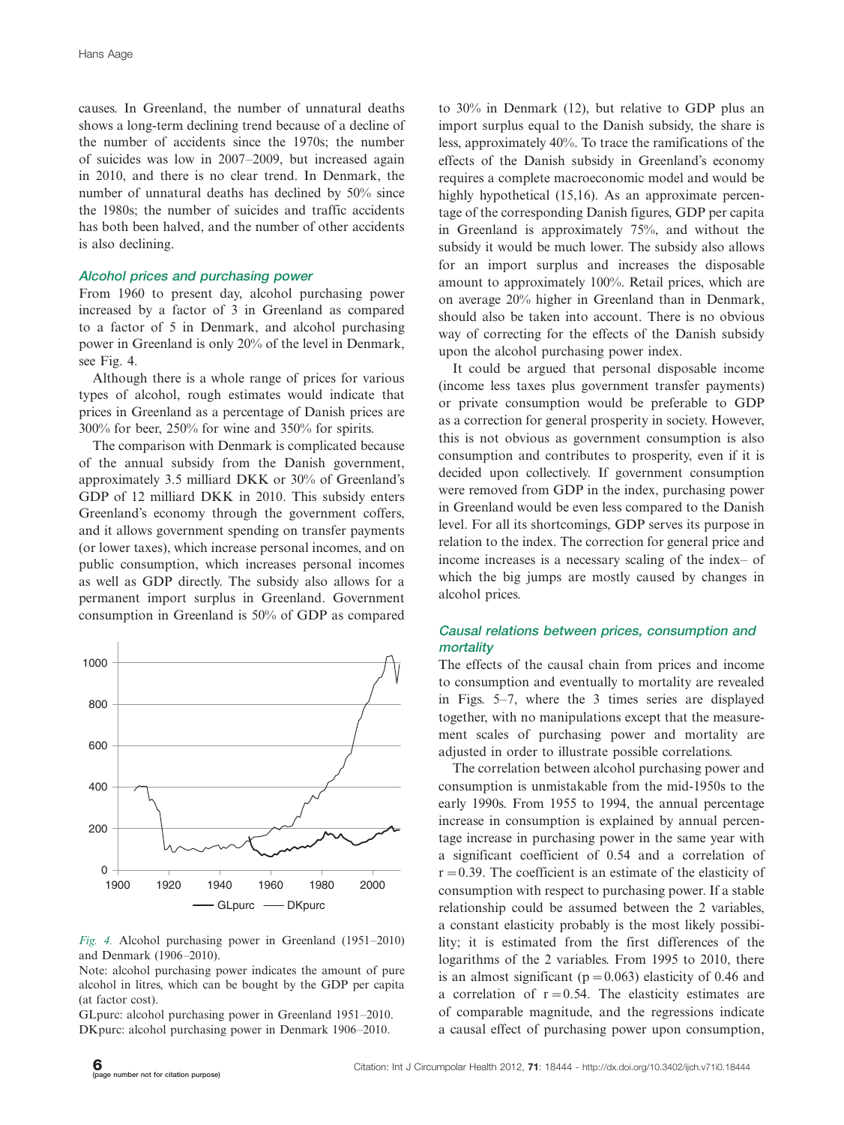causes. In Greenland, the number of unnatural deaths shows a long-term declining trend because of a decline of the number of accidents since the 1970s; the number of suicides was low in 2007-2009, but increased again in 2010, and there is no clear trend. In Denmark, the number of unnatural deaths has declined by 50% since the 1980s; the number of suicides and traffic accidents has both been halved, and the number of other accidents is also declining.

#### Alcohol prices and purchasing power

From 1960 to present day, alcohol purchasing power increased by a factor of 3 in Greenland as compared to a factor of 5 in Denmark, and alcohol purchasing power in Greenland is only 20% of the level in Denmark, see Fig. 4.

Although there is a whole range of prices for various types of alcohol, rough estimates would indicate that prices in Greenland as a percentage of Danish prices are 300% for beer, 250% for wine and 350% for spirits.

The comparison with Denmark is complicated because of the annual subsidy from the Danish government, approximately 3.5 milliard DKK or 30% of Greenland's GDP of 12 milliard DKK in 2010. This subsidy enters Greenland's economy through the government coffers, and it allows government spending on transfer payments (or lower taxes), which increase personal incomes, and on public consumption, which increases personal incomes as well as GDP directly. The subsidy also allows for a permanent import surplus in Greenland. Government consumption in Greenland is 50% of GDP as compared



Fig. 4. Alcohol purchasing power in Greenland (1951-2010) and Denmark (1906-2010).

Note: alcohol purchasing power indicates the amount of pure alcohol in litres, which can be bought by the GDP per capita (at factor cost).

GLpurc: alcohol purchasing power in Greenland 1951-2010. DKpurc: alcohol purchasing power in Denmark 1906-2010.

to 30% in Denmark (12), but relative to GDP plus an import surplus equal to the Danish subsidy, the share is less, approximately 40%. To trace the ramifications of the effects of the Danish subsidy in Greenland's economy requires a complete macroeconomic model and would be highly hypothetical (15,16). As an approximate percentage of the corresponding Danish figures, GDP per capita in Greenland is approximately 75%, and without the subsidy it would be much lower. The subsidy also allows for an import surplus and increases the disposable amount to approximately 100%. Retail prices, which are on average 20% higher in Greenland than in Denmark, should also be taken into account. There is no obvious way of correcting for the effects of the Danish subsidy upon the alcohol purchasing power index.

It could be argued that personal disposable income (income less taxes plus government transfer payments) or private consumption would be preferable to GDP as a correction for general prosperity in society. However, this is not obvious as government consumption is also consumption and contributes to prosperity, even if it is decided upon collectively. If government consumption were removed from GDP in the index, purchasing power in Greenland would be even less compared to the Danish level. For all its shortcomings, GDP serves its purpose in relation to the index. The correction for general price and income increases is a necessary scaling of the index- of which the big jumps are mostly caused by changes in alcohol prices.

#### Causal relations between prices, consumption and mortality

The effects of the causal chain from prices and income to consumption and eventually to mortality are revealed in Figs. 5-7, where the 3 times series are displayed together, with no manipulations except that the measurement scales of purchasing power and mortality are adjusted in order to illustrate possible correlations.

The correlation between alcohol purchasing power and consumption is unmistakable from the mid-1950s to the early 1990s. From 1955 to 1994, the annual percentage increase in consumption is explained by annual percentage increase in purchasing power in the same year with a significant coefficient of 0.54 and a correlation of  $r=0.39$ . The coefficient is an estimate of the elasticity of consumption with respect to purchasing power. If a stable relationship could be assumed between the 2 variables, a constant elasticity probably is the most likely possibility; it is estimated from the first differences of the logarithms of the 2 variables. From 1995 to 2010, there is an almost significant ( $p=0.063$ ) elasticity of 0.46 and a correlation of  $r=0.54$ . The elasticity estimates are of comparable magnitude, and the regressions indicate a causal effect of purchasing power upon consumption,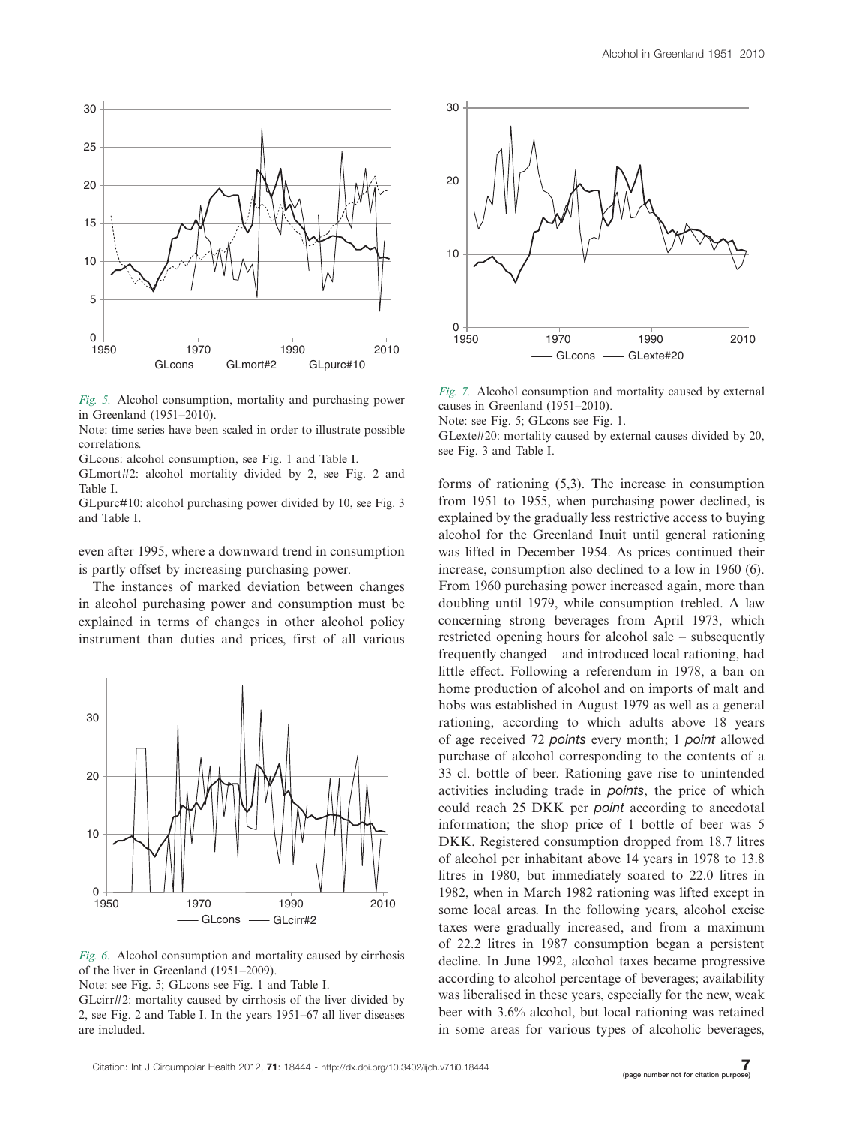

Fig. 5. Alcohol consumption, mortality and purchasing power in Greenland (1951-2010).

Note: time series have been scaled in order to illustrate possible correlations.

GLcons: alcohol consumption, see Fig. 1 and Table I.

GLmort#2: alcohol mortality divided by 2, see Fig. 2 and Table I.

GLpurc#10: alcohol purchasing power divided by 10, see Fig. 3 and Table I.

even after 1995, where a downward trend in consumption is partly offset by increasing purchasing power.

The instances of marked deviation between changes in alcohol purchasing power and consumption must be explained in terms of changes in other alcohol policy instrument than duties and prices, first of all various



Fig. 6. Alcohol consumption and mortality caused by cirrhosis of the liver in Greenland (1951-2009).

Note: see Fig. 5; GLcons see Fig. 1 and Table I.

GLcirr#2: mortality caused by cirrhosis of the liver divided by 2, see Fig. 2 and Table I. In the years 1951-67 all liver diseases are included.



Fig. 7. Alcohol consumption and mortality caused by external causes in Greenland (1951-2010).

Note: see Fig. 5; GLcons see Fig. 1.

GLexte#20: mortality caused by external causes divided by 20, see Fig. 3 and Table I.

forms of rationing (5,3). The increase in consumption from 1951 to 1955, when purchasing power declined, is explained by the gradually less restrictive access to buying alcohol for the Greenland Inuit until general rationing was lifted in December 1954. As prices continued their increase, consumption also declined to a low in 1960 (6). From 1960 purchasing power increased again, more than doubling until 1979, while consumption trebled. A law concerning strong beverages from April 1973, which restricted opening hours for alcohol sale - subsequently frequently changed - and introduced local rationing, had little effect. Following a referendum in 1978, a ban on home production of alcohol and on imports of malt and hobs was established in August 1979 as well as a general rationing, according to which adults above 18 years of age received 72 points every month; 1 point allowed purchase of alcohol corresponding to the contents of a 33 cl. bottle of beer. Rationing gave rise to unintended activities including trade in points, the price of which could reach 25 DKK per *point* according to anecdotal information; the shop price of 1 bottle of beer was 5 DKK. Registered consumption dropped from 18.7 litres of alcohol per inhabitant above 14 years in 1978 to 13.8 litres in 1980, but immediately soared to 22.0 litres in 1982, when in March 1982 rationing was lifted except in some local areas. In the following years, alcohol excise taxes were gradually increased, and from a maximum of 22.2 litres in 1987 consumption began a persistent decline. In June 1992, alcohol taxes became progressive according to alcohol percentage of beverages; availability was liberalised in these years, especially for the new, weak beer with 3.6% alcohol, but local rationing was retained in some areas for various types of alcoholic beverages,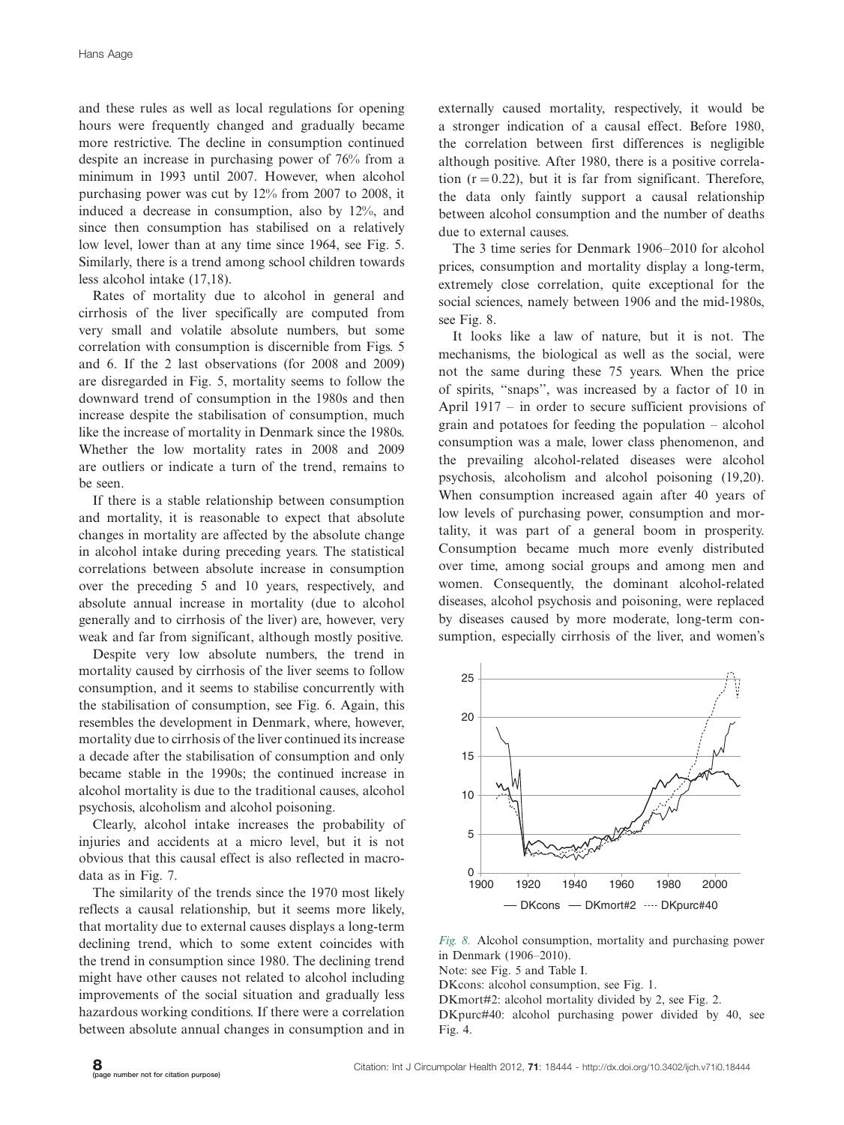and these rules as well as local regulations for opening hours were frequently changed and gradually became more restrictive. The decline in consumption continued despite an increase in purchasing power of 76% from a minimum in 1993 until 2007. However, when alcohol purchasing power was cut by 12% from 2007 to 2008, it induced a decrease in consumption, also by 12%, and since then consumption has stabilised on a relatively low level, lower than at any time since 1964, see Fig. 5. Similarly, there is a trend among school children towards less alcohol intake (17,18).

Rates of mortality due to alcohol in general and cirrhosis of the liver specifically are computed from very small and volatile absolute numbers, but some correlation with consumption is discernible from Figs. 5 and 6. If the 2 last observations (for 2008 and 2009) are disregarded in Fig. 5, mortality seems to follow the downward trend of consumption in the 1980s and then increase despite the stabilisation of consumption, much like the increase of mortality in Denmark since the 1980s. Whether the low mortality rates in 2008 and 2009 are outliers or indicate a turn of the trend, remains to be seen.

If there is a stable relationship between consumption and mortality, it is reasonable to expect that absolute changes in mortality are affected by the absolute change in alcohol intake during preceding years. The statistical correlations between absolute increase in consumption over the preceding 5 and 10 years, respectively, and absolute annual increase in mortality (due to alcohol generally and to cirrhosis of the liver) are, however, very weak and far from significant, although mostly positive.

Despite very low absolute numbers, the trend in mortality caused by cirrhosis of the liver seems to follow consumption, and it seems to stabilise concurrently with the stabilisation of consumption, see Fig. 6. Again, this resembles the development in Denmark, where, however, mortality due to cirrhosis of the liver continued its increase a decade after the stabilisation of consumption and only became stable in the 1990s; the continued increase in alcohol mortality is due to the traditional causes, alcohol psychosis, alcoholism and alcohol poisoning.

Clearly, alcohol intake increases the probability of injuries and accidents at a micro level, but it is not obvious that this causal effect is also reflected in macrodata as in Fig. 7.

The similarity of the trends since the 1970 most likely reflects a causal relationship, but it seems more likely, that mortality due to external causes displays a long-term declining trend, which to some extent coincides with the trend in consumption since 1980. The declining trend might have other causes not related to alcohol including improvements of the social situation and gradually less hazardous working conditions. If there were a correlation between absolute annual changes in consumption and in

externally caused mortality, respectively, it would be a stronger indication of a causal effect. Before 1980, the correlation between first differences is negligible although positive. After 1980, there is a positive correlation  $(r=0.22)$ , but it is far from significant. Therefore, the data only faintly support a causal relationship between alcohol consumption and the number of deaths due to external causes.

The 3 time series for Denmark 1906-2010 for alcohol prices, consumption and mortality display a long-term, extremely close correlation, quite exceptional for the social sciences, namely between 1906 and the mid-1980s, see Fig. 8.

It looks like a law of nature, but it is not. The mechanisms, the biological as well as the social, were not the same during these 75 years. When the price of spirits, ''snaps'', was increased by a factor of 10 in April 1917 - in order to secure sufficient provisions of grain and potatoes for feeding the population - alcohol consumption was a male, lower class phenomenon, and the prevailing alcohol-related diseases were alcohol psychosis, alcoholism and alcohol poisoning (19,20). When consumption increased again after 40 years of low levels of purchasing power, consumption and mortality, it was part of a general boom in prosperity. Consumption became much more evenly distributed over time, among social groups and among men and women. Consequently, the dominant alcohol-related diseases, alcohol psychosis and poisoning, were replaced by diseases caused by more moderate, long-term consumption, especially cirrhosis of the liver, and women's



Fig. 8. Alcohol consumption, mortality and purchasing power in Denmark (1906-2010).

Note: see Fig. 5 and Table I.

DKcons: alcohol consumption, see Fig. 1.

DKmort#2: alcohol mortality divided by 2, see Fig. 2.

DKpurc#40: alcohol purchasing power divided by 40, see Fig. 4.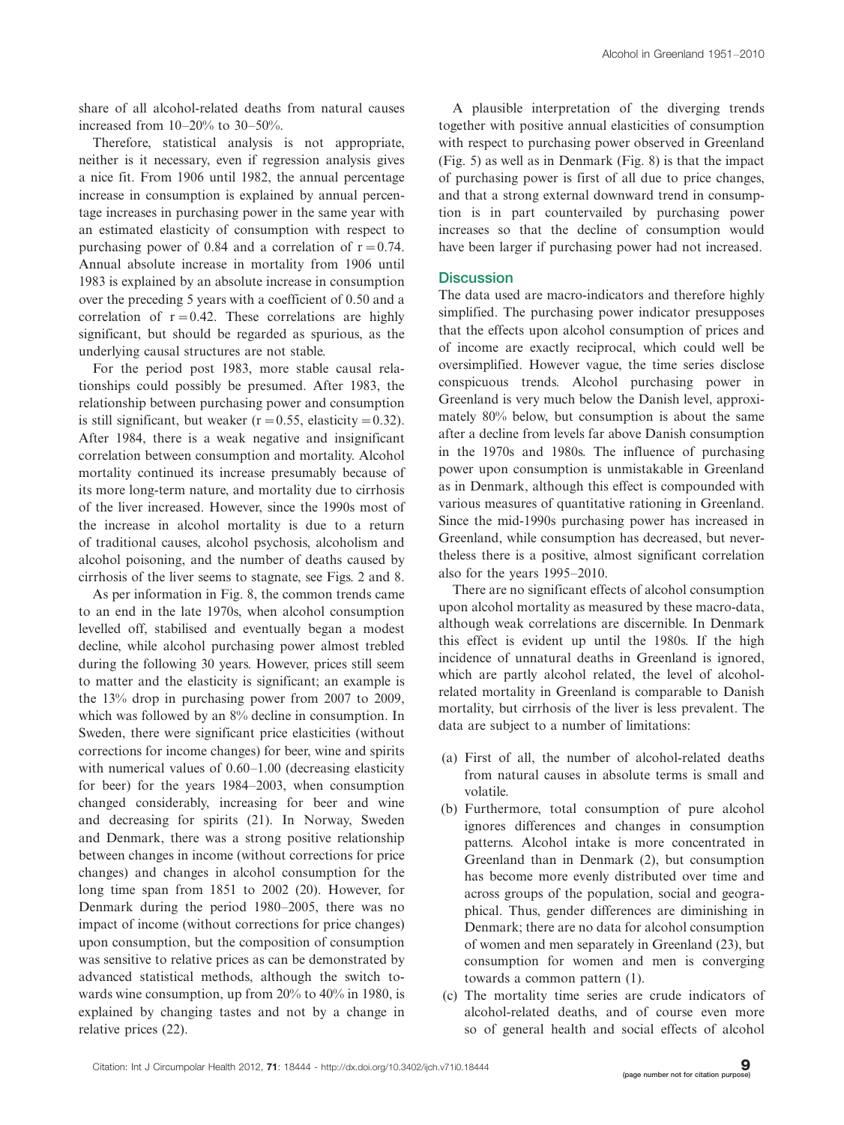share of all alcohol-related deaths from natural causes increased from 10-20% to 30-50%.

Therefore, statistical analysis is not appropriate, neither is it necessary, even if regression analysis gives a nice fit. From 1906 until 1982, the annual percentage increase in consumption is explained by annual percentage increases in purchasing power in the same year with an estimated elasticity of consumption with respect to purchasing power of 0.84 and a correlation of  $r=0.74$ . Annual absolute increase in mortality from 1906 until 1983 is explained by an absolute increase in consumption over the preceding 5 years with a coefficient of 0.50 and a correlation of  $r=0.42$ . These correlations are highly significant, but should be regarded as spurious, as the underlying causal structures are not stable.

For the period post 1983, more stable causal relationships could possibly be presumed. After 1983, the relationship between purchasing power and consumption is still significant, but weaker ( $r=0.55$ , elasticity = 0.32). After 1984, there is a weak negative and insignificant correlation between consumption and mortality. Alcohol mortality continued its increase presumably because of its more long-term nature, and mortality due to cirrhosis of the liver increased. However, since the 1990s most of the increase in alcohol mortality is due to a return of traditional causes, alcohol psychosis, alcoholism and alcohol poisoning, and the number of deaths caused by cirrhosis of the liver seems to stagnate, see Figs. 2 and 8.

As per information in Fig. 8, the common trends came to an end in the late 1970s, when alcohol consumption levelled off, stabilised and eventually began a modest decline, while alcohol purchasing power almost trebled during the following 30 years. However, prices still seem to matter and the elasticity is significant; an example is the 13% drop in purchasing power from 2007 to 2009, which was followed by an 8% decline in consumption. In Sweden, there were significant price elasticities (without corrections for income changes) for beer, wine and spirits with numerical values of 0.60-1.00 (decreasing elasticity for beer) for the years 1984-2003, when consumption changed considerably, increasing for beer and wine and decreasing for spirits (21). In Norway, Sweden and Denmark, there was a strong positive relationship between changes in income (without corrections for price changes) and changes in alcohol consumption for the long time span from 1851 to 2002 (20). However, for Denmark during the period 1980-2005, there was no impact of income (without corrections for price changes) upon consumption, but the composition of consumption was sensitive to relative prices as can be demonstrated by advanced statistical methods, although the switch towards wine consumption, up from 20% to 40% in 1980, is explained by changing tastes and not by a change in relative prices (22).

A plausible interpretation of the diverging trends together with positive annual elasticities of consumption with respect to purchasing power observed in Greenland (Fig. 5) as well as in Denmark (Fig. 8) is that the impact of purchasing power is first of all due to price changes, and that a strong external downward trend in consumption is in part countervailed by purchasing power increases so that the decline of consumption would have been larger if purchasing power had not increased.

#### **Discussion**

The data used are macro-indicators and therefore highly simplified. The purchasing power indicator presupposes that the effects upon alcohol consumption of prices and of income are exactly reciprocal, which could well be oversimplified. However vague, the time series disclose conspicuous trends. Alcohol purchasing power in Greenland is very much below the Danish level, approximately 80% below, but consumption is about the same after a decline from levels far above Danish consumption in the 1970s and 1980s. The influence of purchasing power upon consumption is unmistakable in Greenland as in Denmark, although this effect is compounded with various measures of quantitative rationing in Greenland. Since the mid-1990s purchasing power has increased in Greenland, while consumption has decreased, but nevertheless there is a positive, almost significant correlation also for the years 1995-2010.

There are no significant effects of alcohol consumption upon alcohol mortality as measured by these macro-data, although weak correlations are discernible. In Denmark this effect is evident up until the 1980s. If the high incidence of unnatural deaths in Greenland is ignored, which are partly alcohol related, the level of alcoholrelated mortality in Greenland is comparable to Danish mortality, but cirrhosis of the liver is less prevalent. The data are subject to a number of limitations:

- (a) First of all, the number of alcohol-related deaths from natural causes in absolute terms is small and volatile.
- (b) Furthermore, total consumption of pure alcohol ignores differences and changes in consumption patterns. Alcohol intake is more concentrated in Greenland than in Denmark (2), but consumption has become more evenly distributed over time and across groups of the population, social and geographical. Thus, gender differences are diminishing in Denmark; there are no data for alcohol consumption of women and men separately in Greenland (23), but consumption for women and men is converging towards a common pattern (1).
- (c) The mortality time series are crude indicators of alcohol-related deaths, and of course even more so of general health and social effects of alcohol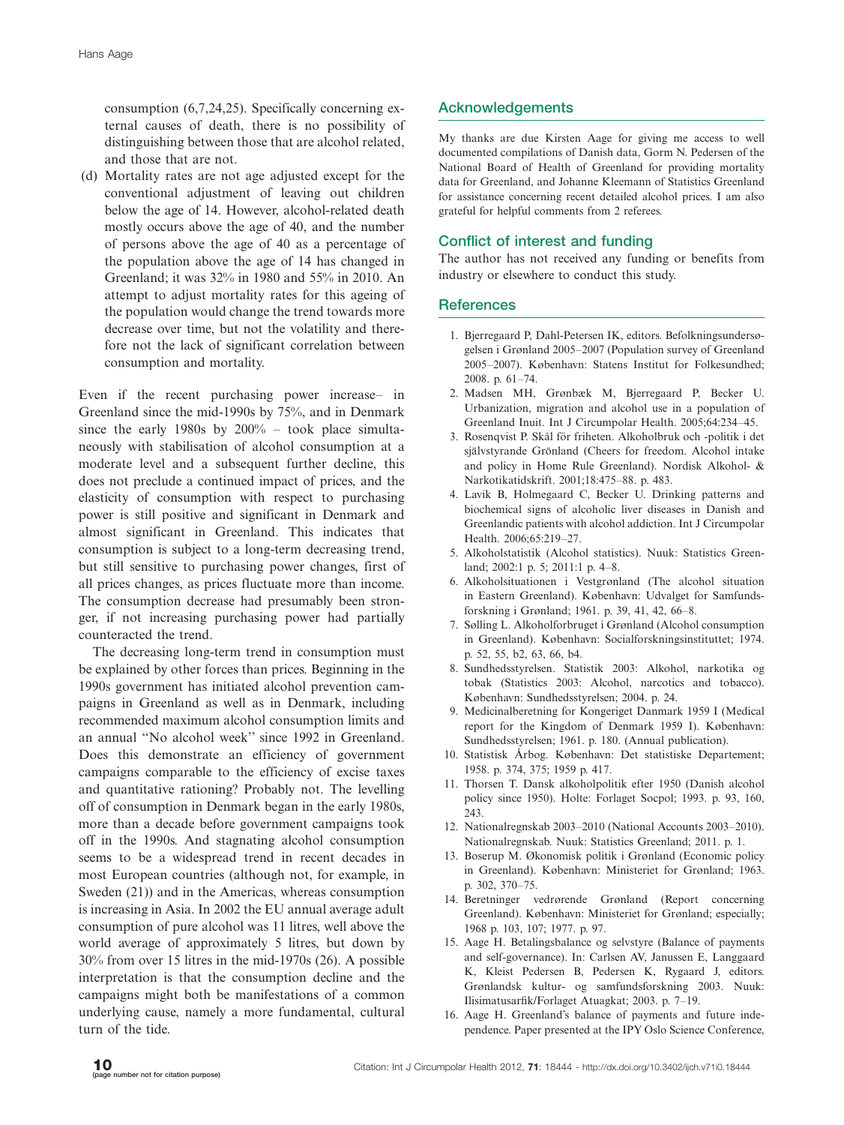consumption (6,7,24,25). Specifically concerning external causes of death, there is no possibility of distinguishing between those that are alcohol related, and those that are not.

(d) Mortality rates are not age adjusted except for the conventional adjustment of leaving out children below the age of 14. However, alcohol-related death mostly occurs above the age of 40, and the number of persons above the age of 40 as a percentage of the population above the age of 14 has changed in Greenland; it was 32% in 1980 and 55% in 2010. An attempt to adjust mortality rates for this ageing of the population would change the trend towards more decrease over time, but not the volatility and therefore not the lack of significant correlation between consumption and mortality.

Even if the recent purchasing power increase- in Greenland since the mid-1990s by 75%, and in Denmark since the early 1980s by 200% - took place simultaneously with stabilisation of alcohol consumption at a moderate level and a subsequent further decline, this does not preclude a continued impact of prices, and the elasticity of consumption with respect to purchasing power is still positive and significant in Denmark and almost significant in Greenland. This indicates that consumption is subject to a long-term decreasing trend, but still sensitive to purchasing power changes, first of all prices changes, as prices fluctuate more than income. The consumption decrease had presumably been stronger, if not increasing purchasing power had partially counteracted the trend.

The decreasing long-term trend in consumption must be explained by other forces than prices. Beginning in the 1990s government has initiated alcohol prevention campaigns in Greenland as well as in Denmark, including recommended maximum alcohol consumption limits and an annual ''No alcohol week'' since 1992 in Greenland. Does this demonstrate an efficiency of government campaigns comparable to the efficiency of excise taxes and quantitative rationing? Probably not. The levelling off of consumption in Denmark began in the early 1980s, more than a decade before government campaigns took off in the 1990s. And stagnating alcohol consumption seems to be a widespread trend in recent decades in most European countries (although not, for example, in Sweden (21)) and in the Americas, whereas consumption is increasing in Asia. In 2002 the EU annual average adult consumption of pure alcohol was 11 litres, well above the world average of approximately 5 litres, but down by 30% from over 15 litres in the mid-1970s (26). A possible interpretation is that the consumption decline and the campaigns might both be manifestations of a common underlying cause, namely a more fundamental, cultural turn of the tide.

# Acknowledgements

My thanks are due Kirsten Aage for giving me access to well documented compilations of Danish data, Gorm N. Pedersen of the National Board of Health of Greenland for providing mortality data for Greenland, and Johanne Kleemann of Statistics Greenland for assistance concerning recent detailed alcohol prices. I am also grateful for helpful comments from 2 referees.

# Conflict of interest and funding

The author has not received any funding or benefits from industry or elsewhere to conduct this study.

## **References**

- 1. Bjerregaard P, Dahl-Petersen IK, editors. Befolkningsundersøgelsen i Grønland 2005-2007 (Population survey of Greenland 2005-2007). København: Statens Institut for Folkesundhed; 2008. p. 61-74.
- 2. Madsen MH, Grønbæk M, Bjerregaard P, Becker U. Urbanization, migration and alcohol use in a population of Greenland Inuit. Int J Circumpolar Health. 2005;64:234-45.
- 3. Rosenqvist P. Skål för friheten. Alkoholbruk och -politik i det självstyrande Grönland (Cheers for freedom. Alcohol intake and policy in Home Rule Greenland). Nordisk Alkohol- & Narkotikatidskrift. 2001;18:475-88. p. 483.
- 4. Lavik B, Holmegaard C, Becker U. Drinking patterns and biochemical signs of alcoholic liver diseases in Danish and Greenlandic patients with alcohol addiction. Int J Circumpolar Health. 2006;65:219-27.
- 5. Alkoholstatistik (Alcohol statistics). Nuuk: Statistics Greenland; 2002:1 p. 5; 2011:1 p. 4-8.
- 6. Alkoholsituationen i Vestgrønland (The alcohol situation in Eastern Greenland). København: Udvalget for Samfundsforskning i Grønland; 1961. p. 39, 41, 42, 66-8.
- 7. Sølling L. Alkoholforbruget i Grønland (Alcohol consumption in Greenland). København: Socialforskningsinstituttet; 1974. p. 52, 55, b2, 63, 66, b4.
- 8. Sundhedsstyrelsen. Statistik 2003: Alkohol, narkotika og tobak (Statistics 2003: Alcohol, narcotics and tobacco). København: Sundhedsstyrelsen; 2004. p. 24.
- 9. Medicinalberetning for Kongeriget Danmark 1959 I (Medical report for the Kingdom of Denmark 1959 I). København: Sundhedsstyrelsen; 1961. p. 180. (Annual publication).
- 10. Statistisk Årbog. København: Det statistiske Departement; 1958. p. 374, 375; 1959 p. 417.
- 11. Thorsen T. Dansk alkoholpolitik efter 1950 (Danish alcohol policy since 1950). Holte: Forlaget Socpol; 1993. p. 93, 160, 243.
- 12. Nationalregnskab 2003-2010 (National Accounts 2003-2010). Nationalregnskab. Nuuk: Statistics Greenland; 2011. p. 1.
- 13. Boserup M. Økonomisk politik i Grønland (Economic policy in Greenland). København: Ministeriet for Grønland; 1963. p. 302, 370-75.
- 14. Beretninger vedrørende Grønland (Report concerning Greenland). København: Ministeriet for Grønland; especially; 1968 p. 103, 107; 1977. p. 97.
- 15. Aage H. Betalingsbalance og selvstyre (Balance of payments and self-governance). In: Carlsen AV, Janussen E, Langgaard K, Kleist Pedersen B, Pedersen K, Rygaard J, editors. Grønlandsk kultur- og samfundsforskning 2003. Nuuk: Ilisimatusarfik/Forlaget Atuagkat; 2003. p. 7-19.
- 16. Aage H. Greenland's balance of payments and future independence. Paper presented at the IPY Oslo Science Conference,